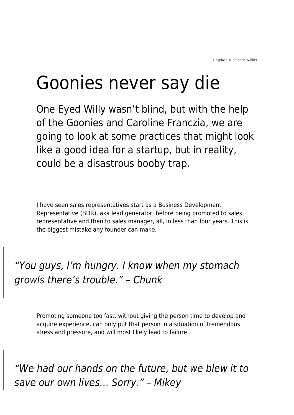# Goonies never say die

One Eyed Willy wasn't blind, but with the help of the Goonies and Caroline Franczia, we are going to look at some practices that might look like a good idea for a startup, but in reality, could be a disastrous booby trap.

I have seen sales representatives start as a Business Development Representative (BDR), aka lead generator, before being promoted to sales representative and then to sales manager, all, in less than four years. This is the biggest mistake any founder can make.

# "You guys, I'm [hungry.](https://www.moviequotes.com/topic/hunger/) I know when my stomach growls there's trouble." – Chunk

Promoting someone too fast, without giving the person time to develop and acquire experience, can only put that person in a situation of tremendous stress and pressure, and will most likely lead to failure.

"We had our hands on the future, but we blew it to save our own lives… Sorry." – Mikey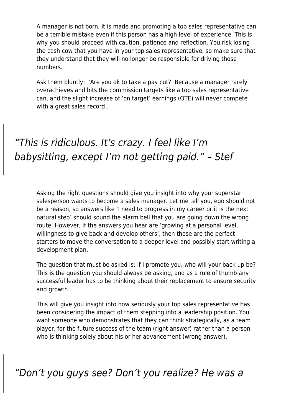A manager is not born, it is made and promoting a [top sales representative](https://www.maddyness.com/uk/2020/06/11/in-watchmaking-and-sales-forecasting-its-all-about-the-methodology/) can be a terrible mistake even if this person has a high level of experience. This is why you should proceed with caution, patience and reflection. You risk losing the cash cow that you have in your top sales representative, so make sure that they understand that they will no longer be responsible for driving those numbers.

Ask them bluntly: 'Are you ok to take a pay cut?' Because a manager rarely overachieves and hits the commission targets like a top sales representative can, and the slight increase of 'on target' earnings (OTE) will never compete with a great sales record..

# "This is ridiculous. It's crazy. I feel like I'm babysitting, except I'm not getting paid." – Stef

Asking the right questions should give you insight into why your superstar salesperson wants to become a sales manager. Let me tell you, ego should not be a reason, so answers like 'I need to progress in my career or it is the next natural step' should sound the alarm bell that you are going down the wrong route. However, if the answers you hear are 'growing at a personal level, willingness to give back and develop others', then these are the perfect starters to move the conversation to a deeper level and possibly start writing a development plan.

The question that must be asked is: if I promote you, who will your back up be? This is the question you should always be asking, and as a rule of thumb any successful leader has to be thinking about their replacement to ensure security and growth

This will give you insight into how seriously your top sales representative has been considering the impact of them stepping into a leadership position. You want someone who demonstrates that they can think strategically, as a team player, for the future success of the team (right answer) rather than a person who is thinking solely about his or her advancement (wrong answer).

"Don't you guys see? Don't you realize? He was a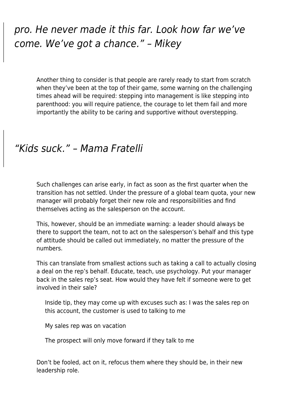## pro. He never made it this far. Look how far we've come. We've got a chance." – Mikey

Another thing to consider is that people are rarely ready to start from scratch when they've been at the top of their game, some warning on the challenging times ahead will be required: stepping into management is like stepping into parenthood: you will require patience, the courage to let them fail and more importantly the ability to be caring and supportive without overstepping.

### "Kids suck." – Mama Fratelli

Such challenges can arise early, in fact as soon as the first quarter when the transition has not settled. Under the pressure of a global team quota, your new manager will probably forget their new role and responsibilities and find themselves acting as the salesperson on the account.

This, however, should be an immediate warning: a leader should always be there to support the team, not to act on the salesperson's behalf and this type of attitude should be called out immediately, no matter the pressure of the numbers.

This can translate from smallest actions such as taking a call to actually closing a deal on the rep's behalf. Educate, teach, use psychology. Put your manager back in the sales rep's seat. How would they have felt if someone were to get involved in their sale?

Inside tip, they may come up with excuses such as: I was the sales rep on this account, the customer is used to talking to me

My sales rep was on vacation

The prospect will only move forward if they talk to me

Don't be fooled, act on it, refocus them where they should be, in their new leadership role.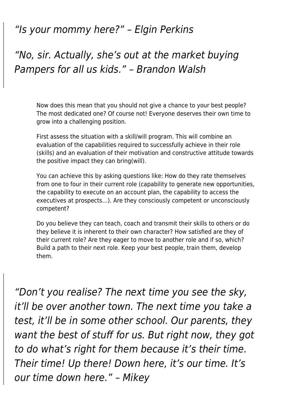#### "Is your mommy here?" – Elgin Perkins

"No, sir. Actually, she's out at the market buying Pampers for all us kids." – Brandon Walsh

Now does this mean that you should not give a chance to your best people? The most dedicated one? Of course not! Everyone deserves their own time to grow into a challenging position.

First assess the situation with a skill/will program. This will combine an evaluation of the capabilities required to successfully achieve in their role (skills) and an evaluation of their motivation and constructive attitude towards the positive impact they can bring(will).

You can achieve this by asking questions like: How do they rate themselves from one to four in their current role (capability to generate new opportunities, the capability to execute on an account plan, the capability to access the executives at prospects…). Are they consciously competent or unconsciously competent?

Do you believe they can teach, coach and transmit their skills to others or do they believe it is inherent to their own character? How satisfied are they of their current role? Are they eager to move to another role and if so, which? Build a path to their next role. Keep your best people, train them, develop them.

"Don't you realise? The next time you see the sky, it'll be over another town. The next time you take a test, it'll be in some other school. Our parents, they want the best of stuff for us. But right now, they got to do what's right for them because it's their time. Their time! Up there! Down here, it's our time. It's our time down here." – Mikey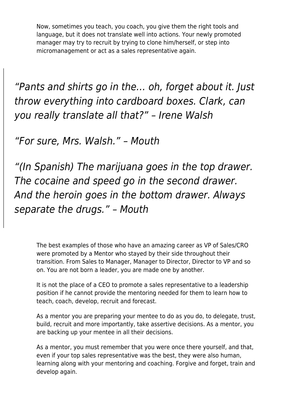Now, sometimes you teach, you coach, you give them the right tools and language, but it does not translate well into actions. Your newly promoted manager may try to recruit by trying to clone him/herself, or step into micromanagement or act as a sales representative again.

"Pants and shirts go in the… oh, forget about it. Just throw everything into cardboard boxes. Clark, can you really translate all that?" – Irene Walsh

"For sure, Mrs. Walsh." – Mouth

"(In Spanish) The marijuana goes in the top drawer. The cocaine and speed go in the second drawer. And the heroin goes in the bottom drawer. Always separate the drugs." – Mouth

The best examples of those who have an amazing career as VP of Sales/CRO were promoted by a Mentor who stayed by their side throughout their transition. From Sales to Manager, Manager to Director, Director to VP and so on. You are not born a leader, you are made one by another.

It is not the place of a CEO to promote a sales representative to a leadership position if he cannot provide the mentoring needed for them to learn how to teach, coach, develop, recruit and forecast.

As a mentor you are preparing your mentee to do as you do, to delegate, trust, build, recruit and more importantly, take assertive decisions. As a mentor, you are backing up your mentee in all their decisions.

As a mentor, you must remember that you were once there yourself, and that, even if your top sales representative was the best, they were also human, learning along with your mentoring and coaching. Forgive and forget, train and develop again.